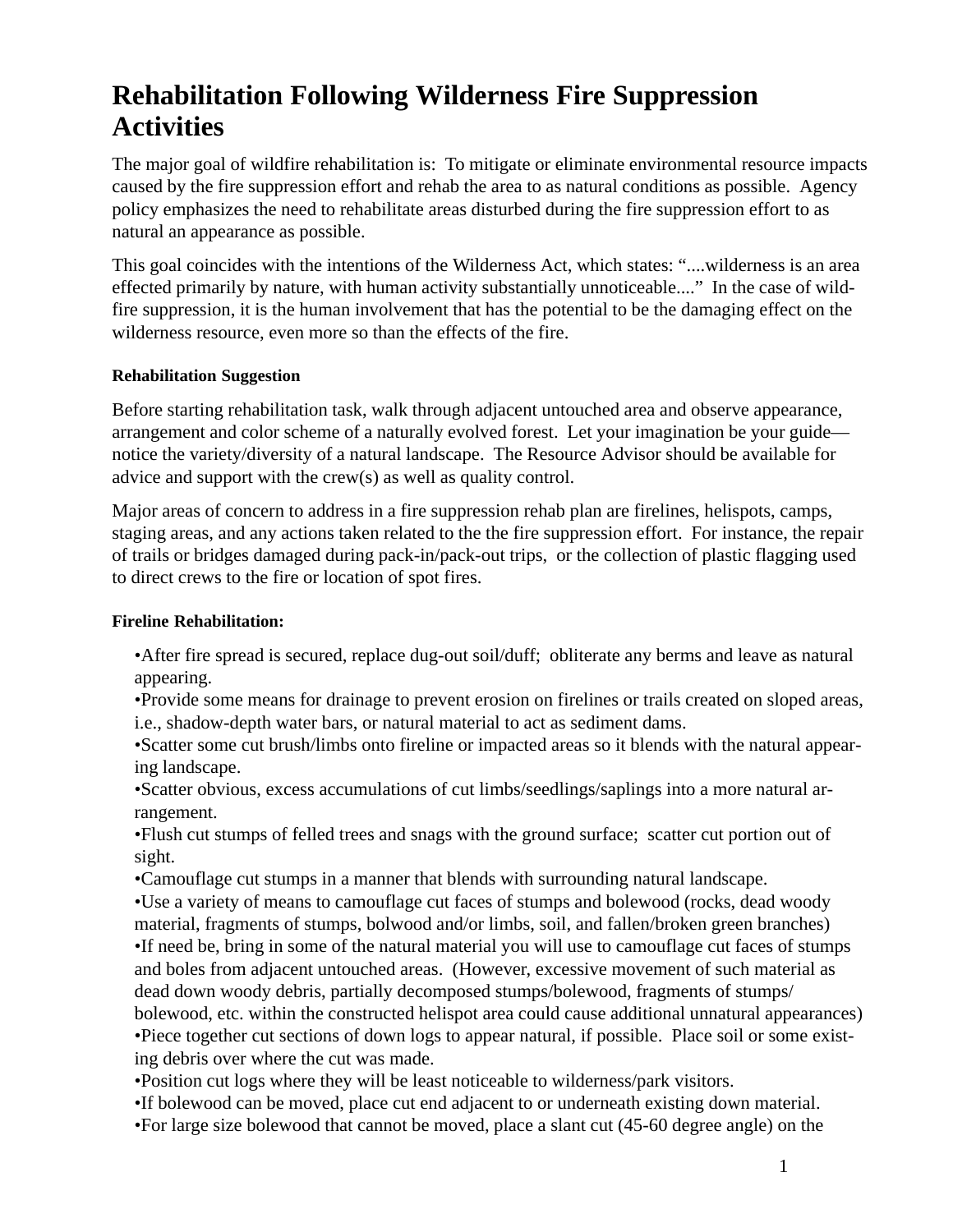# **Rehabilitation Following Wilderness Fire Suppression Activities**

The major goal of wildfire rehabilitation is: To mitigate or eliminate environmental resource impacts caused by the fire suppression effort and rehab the area to as natural conditions as possible. Agency policy emphasizes the need to rehabilitate areas disturbed during the fire suppression effort to as natural an appearance as possible.

This goal coincides with the intentions of the Wilderness Act, which states: "....wilderness is an area effected primarily by nature, with human activity substantially unnoticeable...." In the case of wildfire suppression, it is the human involvement that has the potential to be the damaging effect on the wilderness resource, even more so than the effects of the fire.

#### **Rehabilitation Suggestion**

Before starting rehabilitation task, walk through adjacent untouched area and observe appearance, arrangement and color scheme of a naturally evolved forest. Let your imagination be your guide notice the variety/diversity of a natural landscape. The Resource Advisor should be available for advice and support with the crew(s) as well as quality control.

Major areas of concern to address in a fire suppression rehab plan are firelines, helispots, camps, staging areas, and any actions taken related to the the fire suppression effort. For instance, the repair of trails or bridges damaged during pack-in/pack-out trips, or the collection of plastic flagging used to direct crews to the fire or location of spot fires.

#### **Fireline Rehabilitation:**

•After fire spread is secured, replace dug-out soil/duff; obliterate any berms and leave as natural appearing.

•Provide some means for drainage to prevent erosion on firelines or trails created on sloped areas, i.e., shadow-depth water bars, or natural material to act as sediment dams.

•Scatter some cut brush/limbs onto fireline or impacted areas so it blends with the natural appearing landscape.

•Scatter obvious, excess accumulations of cut limbs/seedlings/saplings into a more natural arrangement.

•Flush cut stumps of felled trees and snags with the ground surface; scatter cut portion out of sight.

•Camouflage cut stumps in a manner that blends with surrounding natural landscape.

•Use a variety of means to camouflage cut faces of stumps and bolewood (rocks, dead woody material, fragments of stumps, bolwood and/or limbs, soil, and fallen/broken green branches) •If need be, bring in some of the natural material you will use to camouflage cut faces of stumps and boles from adjacent untouched areas. (However, excessive movement of such material as dead down woody debris, partially decomposed stumps/bolewood, fragments of stumps/ bolewood, etc. within the constructed helispot area could cause additional unnatural appearances) •Piece together cut sections of down logs to appear natural, if possible. Place soil or some existing debris over where the cut was made.

•Position cut logs where they will be least noticeable to wilderness/park visitors.

•If bolewood can be moved, place cut end adjacent to or underneath existing down material.

•For large size bolewood that cannot be moved, place a slant cut (45-60 degree angle) on the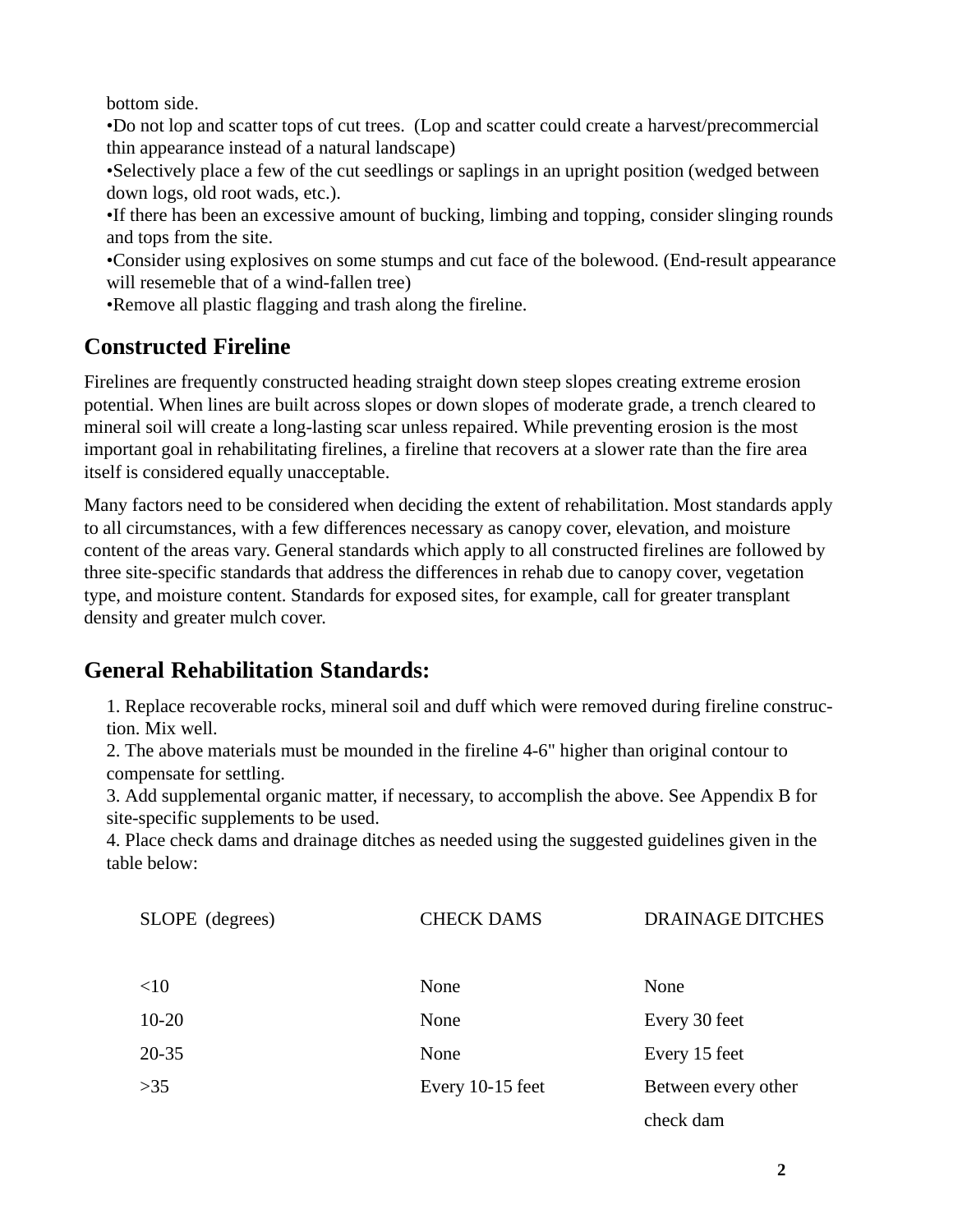bottom side.

•Do not lop and scatter tops of cut trees. (Lop and scatter could create a harvest/precommercial thin appearance instead of a natural landscape)

•Selectively place a few of the cut seedlings or saplings in an upright position (wedged between down logs, old root wads, etc.).

•If there has been an excessive amount of bucking, limbing and topping, consider slinging rounds and tops from the site.

•Consider using explosives on some stumps and cut face of the bolewood. (End-result appearance will resemeble that of a wind-fallen tree)

•Remove all plastic flagging and trash along the fireline.

# **Constructed Fireline**

Firelines are frequently constructed heading straight down steep slopes creating extreme erosion potential. When lines are built across slopes or down slopes of moderate grade, a trench cleared to mineral soil will create a long-lasting scar unless repaired. While preventing erosion is the most important goal in rehabilitating firelines, a fireline that recovers at a slower rate than the fire area itself is considered equally unacceptable.

Many factors need to be considered when deciding the extent of rehabilitation. Most standards apply to all circumstances, with a few differences necessary as canopy cover, elevation, and moisture content of the areas vary. General standards which apply to all constructed firelines are followed by three site-specific standards that address the differences in rehab due to canopy cover, vegetation type, and moisture content. Standards for exposed sites, for example, call for greater transplant density and greater mulch cover.

# **General Rehabilitation Standards:**

1. Replace recoverable rocks, mineral soil and duff which were removed during fireline construction. Mix well.

2. The above materials must be mounded in the fireline 4-6" higher than original contour to compensate for settling.

3. Add supplemental organic matter, if necessary, to accomplish the above. See Appendix B for site-specific supplements to be used.

4. Place check dams and drainage ditches as needed using the suggested guidelines given in the table below:

| SLOPE (degrees) | <b>CHECK DAMS</b> | <b>DRAINAGE DITCHES</b> |
|-----------------|-------------------|-------------------------|
| <10             | None              | None                    |
| $10 - 20$       | None              | Every 30 feet           |
| $20 - 35$       | None              | Every 15 feet           |
| $>35$           | Every 10-15 feet  | Between every other     |
|                 |                   | check dam               |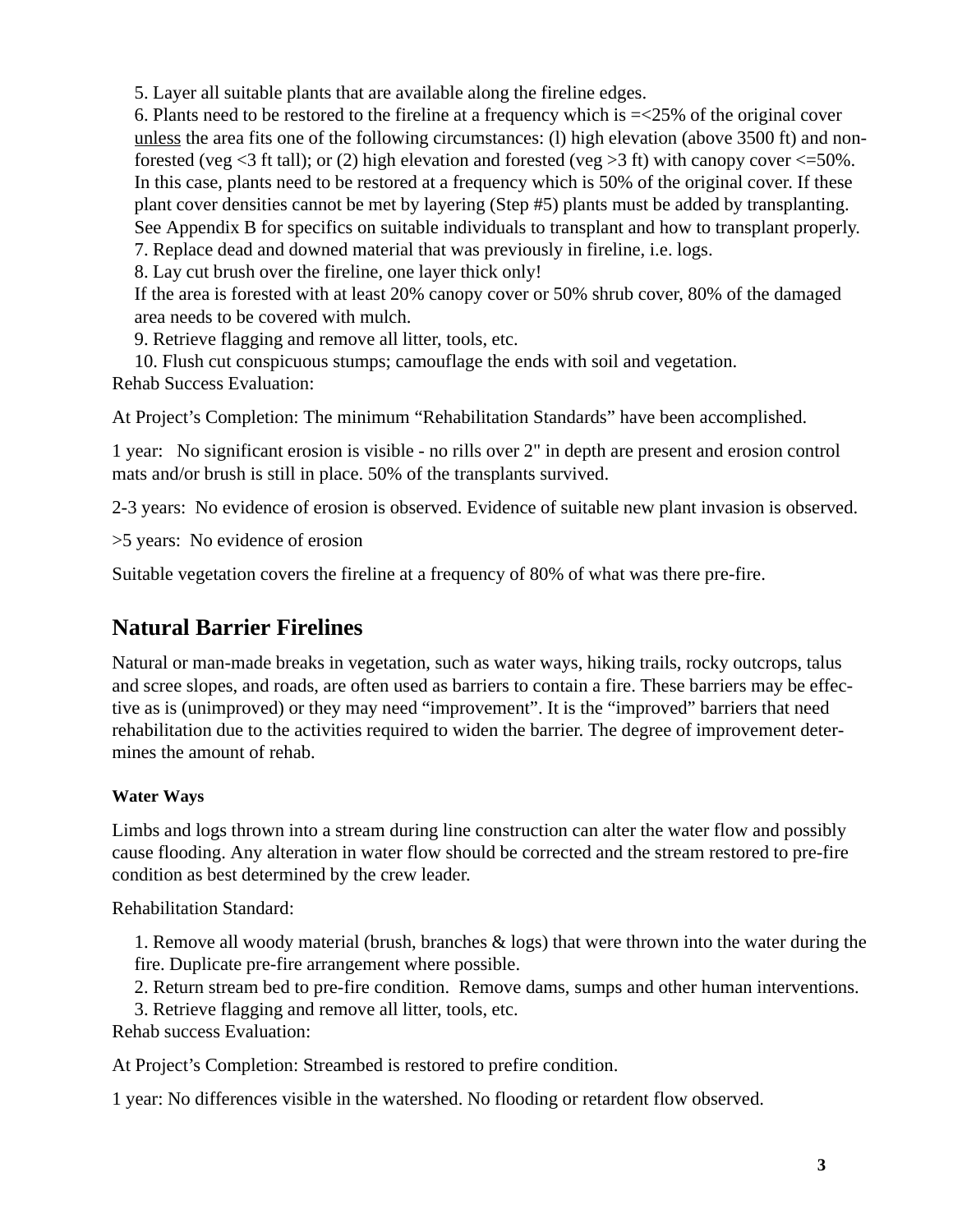5. Layer all suitable plants that are available along the fireline edges.

6. Plants need to be restored to the fireline at a frequency which is =<25% of the original cover unless the area fits one of the following circumstances: (l) high elevation (above 3500 ft) and nonforested (veg  $\leq$ 3 ft tall); or (2) high elevation and forested (veg  $>$ 3 ft) with canopy cover  $\leq$ =50%. In this case, plants need to be restored at a frequency which is 50% of the original cover. If these plant cover densities cannot be met by layering (Step #5) plants must be added by transplanting. See Appendix B for specifics on suitable individuals to transplant and how to transplant properly. 7. Replace dead and downed material that was previously in fireline, i.e. logs.

8. Lay cut brush over the fireline, one layer thick only!

If the area is forested with at least 20% canopy cover or 50% shrub cover, 80% of the damaged area needs to be covered with mulch.

9. Retrieve flagging and remove all litter, tools, etc.

10. Flush cut conspicuous stumps; camouflage the ends with soil and vegetation. Rehab Success Evaluation:

At Project's Completion: The minimum "Rehabilitation Standards" have been accomplished.

1 year: No significant erosion is visible - no rills over 2" in depth are present and erosion control mats and/or brush is still in place. 50% of the transplants survived.

2-3 years: No evidence of erosion is observed. Evidence of suitable new plant invasion is observed.

>5 years: No evidence of erosion

Suitable vegetation covers the fireline at a frequency of 80% of what was there pre-fire.

# **Natural Barrier Firelines**

Natural or man-made breaks in vegetation, such as water ways, hiking trails, rocky outcrops, talus and scree slopes, and roads, are often used as barriers to contain a fire. These barriers may be effective as is (unimproved) or they may need "improvement". It is the "improved" barriers that need rehabilitation due to the activities required to widen the barrier. The degree of improvement determines the amount of rehab.

# **Water Ways**

Limbs and logs thrown into a stream during line construction can alter the water flow and possibly cause flooding. Any alteration in water flow should be corrected and the stream restored to pre-fire condition as best determined by the crew leader.

Rehabilitation Standard:

1. Remove all woody material (brush, branches & logs) that were thrown into the water during the fire. Duplicate pre-fire arrangement where possible.

2. Return stream bed to pre-fire condition. Remove dams, sumps and other human interventions.

3. Retrieve flagging and remove all litter, tools, etc.

Rehab success Evaluation:

At Project's Completion: Streambed is restored to prefire condition.

1 year: No differences visible in the watershed. No flooding or retardent flow observed.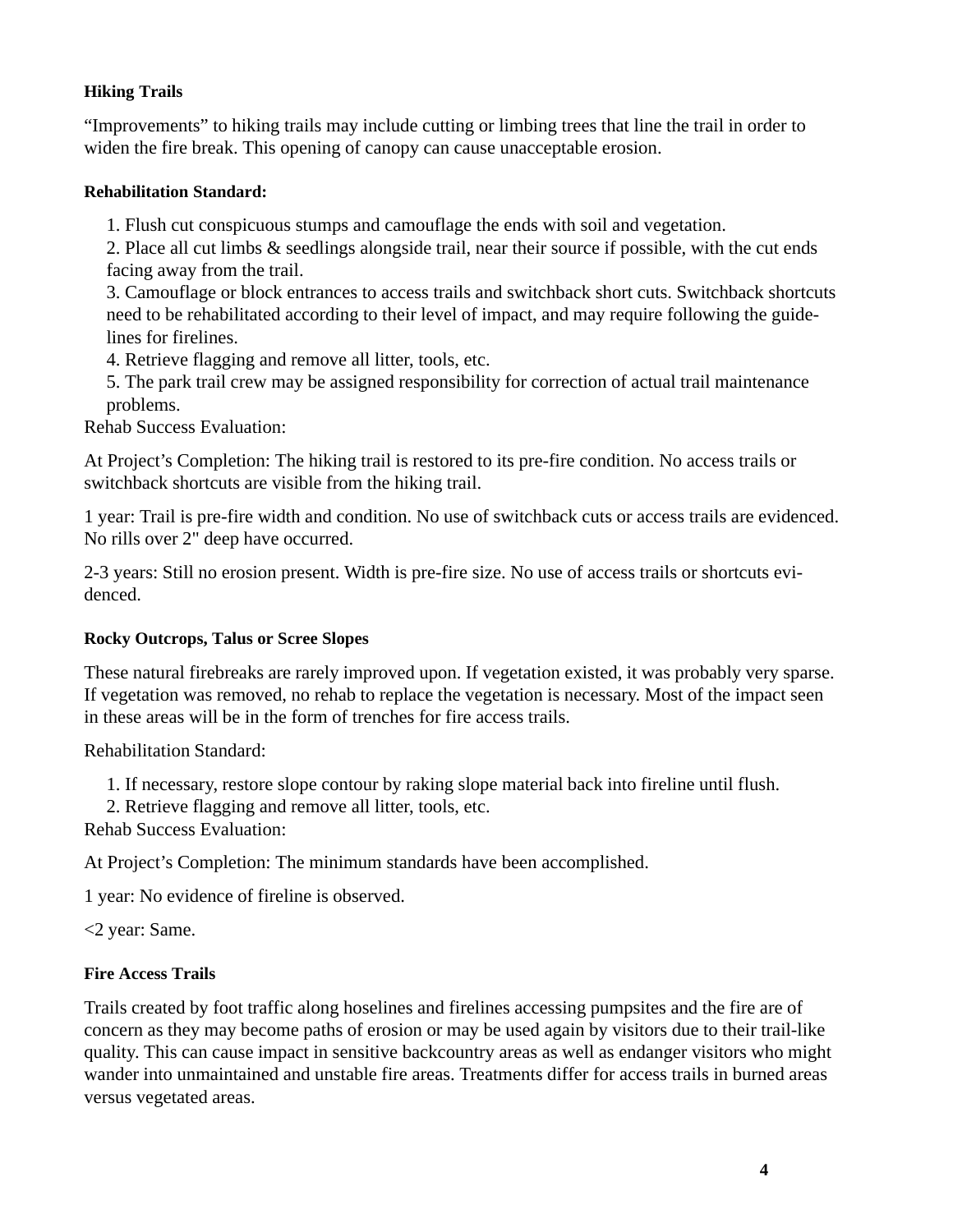#### **Hiking Trails**

"Improvements" to hiking trails may include cutting or limbing trees that line the trail in order to widen the fire break. This opening of canopy can cause unacceptable erosion.

#### **Rehabilitation Standard:**

1. Flush cut conspicuous stumps and camouflage the ends with soil and vegetation.

2. Place all cut limbs & seedlings alongside trail, near their source if possible, with the cut ends facing away from the trail.

3. Camouflage or block entrances to access trails and switchback short cuts. Switchback shortcuts need to be rehabilitated according to their level of impact, and may require following the guidelines for firelines.

4. Retrieve flagging and remove all litter, tools, etc.

5. The park trail crew may be assigned responsibility for correction of actual trail maintenance problems.

Rehab Success Evaluation:

At Project's Completion: The hiking trail is restored to its pre-fire condition. No access trails or switchback shortcuts are visible from the hiking trail.

1 year: Trail is pre-fire width and condition. No use of switchback cuts or access trails are evidenced. No rills over 2" deep have occurred.

2-3 years: Still no erosion present. Width is pre-fire size. No use of access trails or shortcuts evidenced.

#### **Rocky Outcrops, Talus or Scree Slopes**

These natural firebreaks are rarely improved upon. If vegetation existed, it was probably very sparse. If vegetation was removed, no rehab to replace the vegetation is necessary. Most of the impact seen in these areas will be in the form of trenches for fire access trails.

Rehabilitation Standard:

1. If necessary, restore slope contour by raking slope material back into fireline until flush.

2. Retrieve flagging and remove all litter, tools, etc.

Rehab Success Evaluation:

At Project's Completion: The minimum standards have been accomplished.

1 year: No evidence of fireline is observed.

<2 year: Same.

#### **Fire Access Trails**

Trails created by foot traffic along hoselines and firelines accessing pumpsites and the fire are of concern as they may become paths of erosion or may be used again by visitors due to their trail-like quality. This can cause impact in sensitive backcountry areas as well as endanger visitors who might wander into unmaintained and unstable fire areas. Treatments differ for access trails in burned areas versus vegetated areas.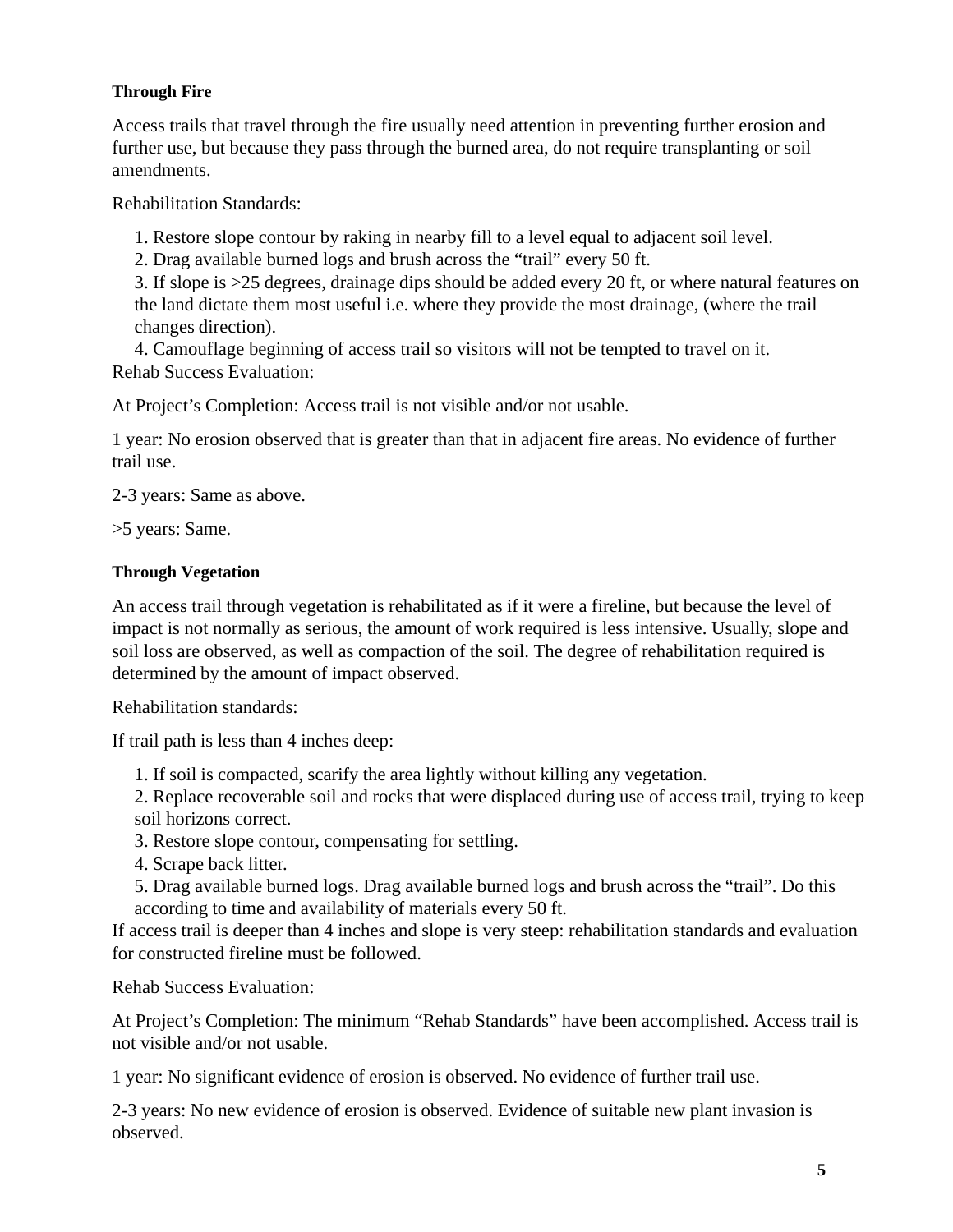#### **Through Fire**

Access trails that travel through the fire usually need attention in preventing further erosion and further use, but because they pass through the burned area, do not require transplanting or soil amendments.

Rehabilitation Standards:

1. Restore slope contour by raking in nearby fill to a level equal to adjacent soil level.

2. Drag available burned logs and brush across the "trail" every 50 ft.

3. If slope is >25 degrees, drainage dips should be added every 20 ft, or where natural features on the land dictate them most useful i.e. where they provide the most drainage, (where the trail changes direction).

4. Camouflage beginning of access trail so visitors will not be tempted to travel on it. Rehab Success Evaluation:

At Project's Completion: Access trail is not visible and/or not usable.

1 year: No erosion observed that is greater than that in adjacent fire areas. No evidence of further trail use.

2-3 years: Same as above.

>5 years: Same.

#### **Through Vegetation**

An access trail through vegetation is rehabilitated as if it were a fireline, but because the level of impact is not normally as serious, the amount of work required is less intensive. Usually, slope and soil loss are observed, as well as compaction of the soil. The degree of rehabilitation required is determined by the amount of impact observed.

Rehabilitation standards:

If trail path is less than 4 inches deep:

1. If soil is compacted, scarify the area lightly without killing any vegetation.

2. Replace recoverable soil and rocks that were displaced during use of access trail, trying to keep soil horizons correct.

- 3. Restore slope contour, compensating for settling.
- 4. Scrape back litter.
- 5. Drag available burned logs. Drag available burned logs and brush across the "trail". Do this according to time and availability of materials every 50 ft.

If access trail is deeper than 4 inches and slope is very steep: rehabilitation standards and evaluation for constructed fireline must be followed.

Rehab Success Evaluation:

At Project's Completion: The minimum "Rehab Standards" have been accomplished. Access trail is not visible and/or not usable.

1 year: No significant evidence of erosion is observed. No evidence of further trail use.

2-3 years: No new evidence of erosion is observed. Evidence of suitable new plant invasion is observed.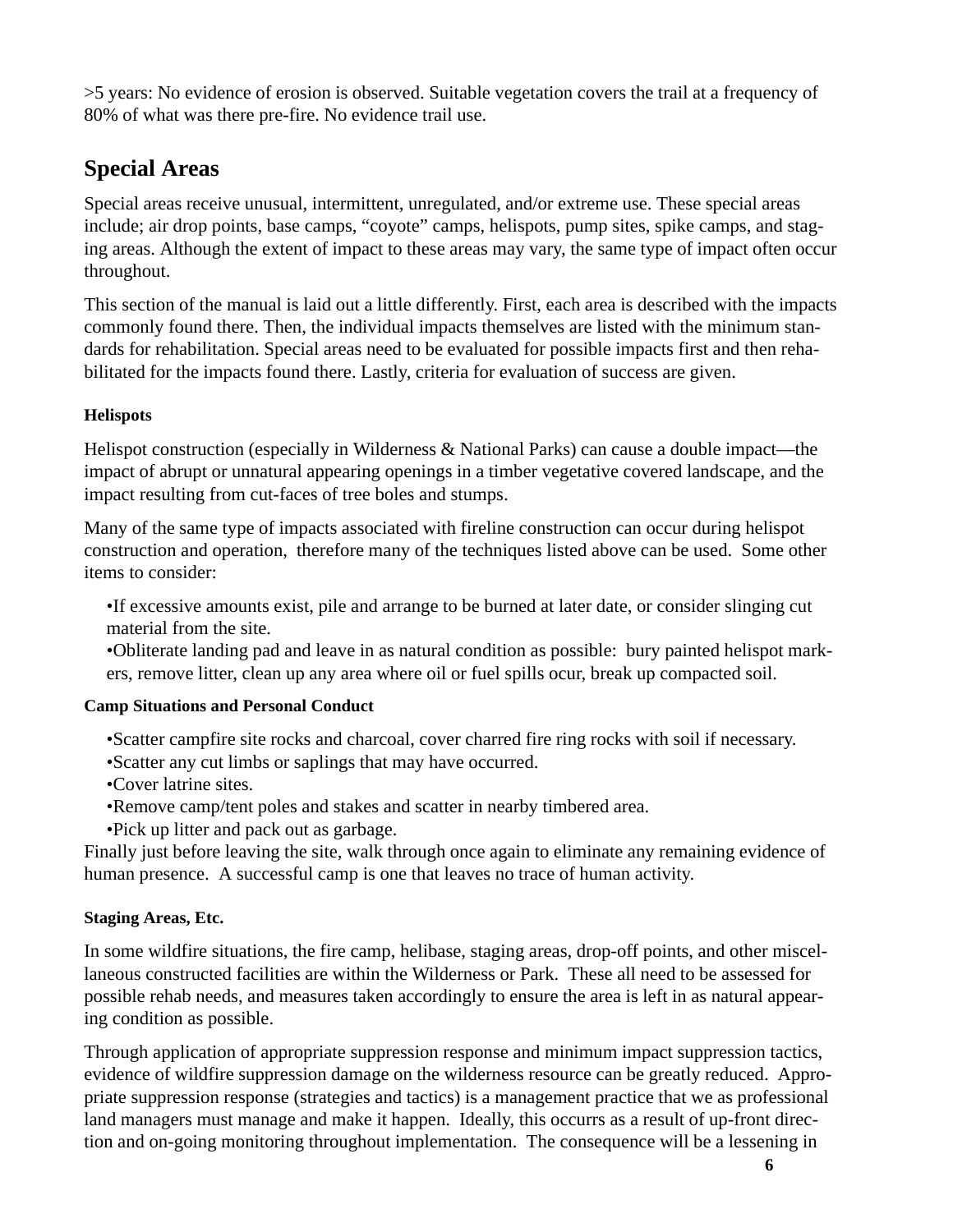>5 years: No evidence of erosion is observed. Suitable vegetation covers the trail at a frequency of 80% of what was there pre-fire. No evidence trail use.

# **Special Areas**

Special areas receive unusual, intermittent, unregulated, and/or extreme use. These special areas include; air drop points, base camps, "coyote" camps, helispots, pump sites, spike camps, and staging areas. Although the extent of impact to these areas may vary, the same type of impact often occur throughout.

This section of the manual is laid out a little differently. First, each area is described with the impacts commonly found there. Then, the individual impacts themselves are listed with the minimum standards for rehabilitation. Special areas need to be evaluated for possible impacts first and then rehabilitated for the impacts found there. Lastly, criteria for evaluation of success are given.

# **Helispots**

Helispot construction (especially in Wilderness & National Parks) can cause a double impact—the impact of abrupt or unnatural appearing openings in a timber vegetative covered landscape, and the impact resulting from cut-faces of tree boles and stumps.

Many of the same type of impacts associated with fireline construction can occur during helispot construction and operation, therefore many of the techniques listed above can be used. Some other items to consider:

•If excessive amounts exist, pile and arrange to be burned at later date, or consider slinging cut material from the site.

•Obliterate landing pad and leave in as natural condition as possible: bury painted helispot markers, remove litter, clean up any area where oil or fuel spills ocur, break up compacted soil.

# **Camp Situations and Personal Conduct**

•Scatter campfire site rocks and charcoal, cover charred fire ring rocks with soil if necessary. •Scatter any cut limbs or saplings that may have occurred.

•Cover latrine sites.

•Remove camp/tent poles and stakes and scatter in nearby timbered area.

•Pick up litter and pack out as garbage.

Finally just before leaving the site, walk through once again to eliminate any remaining evidence of human presence. A successful camp is one that leaves no trace of human activity.

# **Staging Areas, Etc.**

In some wildfire situations, the fire camp, helibase, staging areas, drop-off points, and other miscellaneous constructed facilities are within the Wilderness or Park. These all need to be assessed for possible rehab needs, and measures taken accordingly to ensure the area is left in as natural appearing condition as possible.

Through application of appropriate suppression response and minimum impact suppression tactics, evidence of wildfire suppression damage on the wilderness resource can be greatly reduced. Appropriate suppression response (strategies and tactics) is a management practice that we as professional land managers must manage and make it happen. Ideally, this occurrs as a result of up-front direction and on-going monitoring throughout implementation. The consequence will be a lessening in